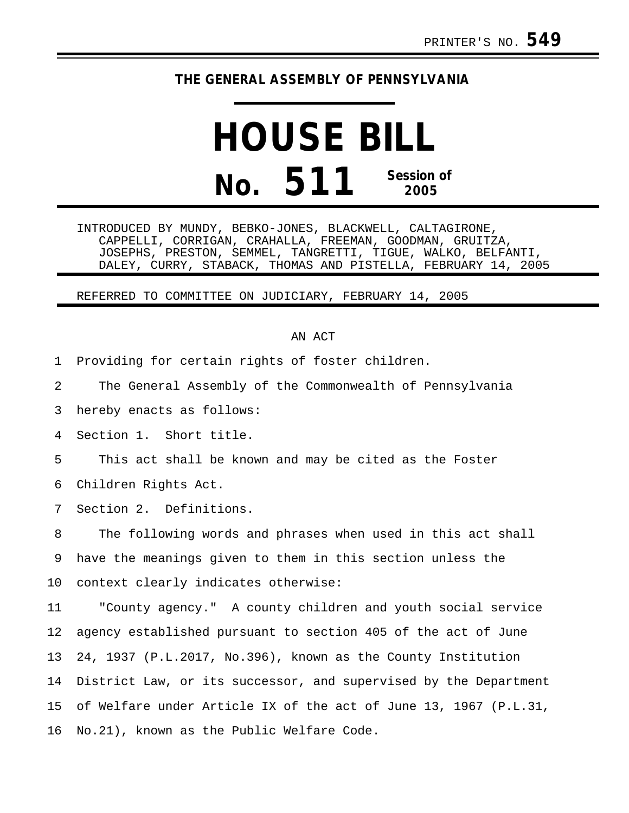## **THE GENERAL ASSEMBLY OF PENNSYLVANIA**

## **HOUSE BILL No. 511 Session of 2005**

INTRODUCED BY MUNDY, BEBKO-JONES, BLACKWELL, CALTAGIRONE, CAPPELLI, CORRIGAN, CRAHALLA, FREEMAN, GOODMAN, GRUITZA, JOSEPHS, PRESTON, SEMMEL, TANGRETTI, TIGUE, WALKO, BELFANTI, DALEY, CURRY, STABACK, THOMAS AND PISTELLA, FEBRUARY 14, 2005

REFERRED TO COMMITTEE ON JUDICIARY, FEBRUARY 14, 2005

## AN ACT

1 Providing for certain rights of foster children.

2 The General Assembly of the Commonwealth of Pennsylvania

3 hereby enacts as follows:

4 Section 1. Short title.

5 This act shall be known and may be cited as the Foster

6 Children Rights Act.

7 Section 2. Definitions.

8 The following words and phrases when used in this act shall 9 have the meanings given to them in this section unless the 10 context clearly indicates otherwise:

11 "County agency." A county children and youth social service 12 agency established pursuant to section 405 of the act of June 13 24, 1937 (P.L.2017, No.396), known as the County Institution 14 District Law, or its successor, and supervised by the Department 15 of Welfare under Article IX of the act of June 13, 1967 (P.L.31, 16 No.21), known as the Public Welfare Code.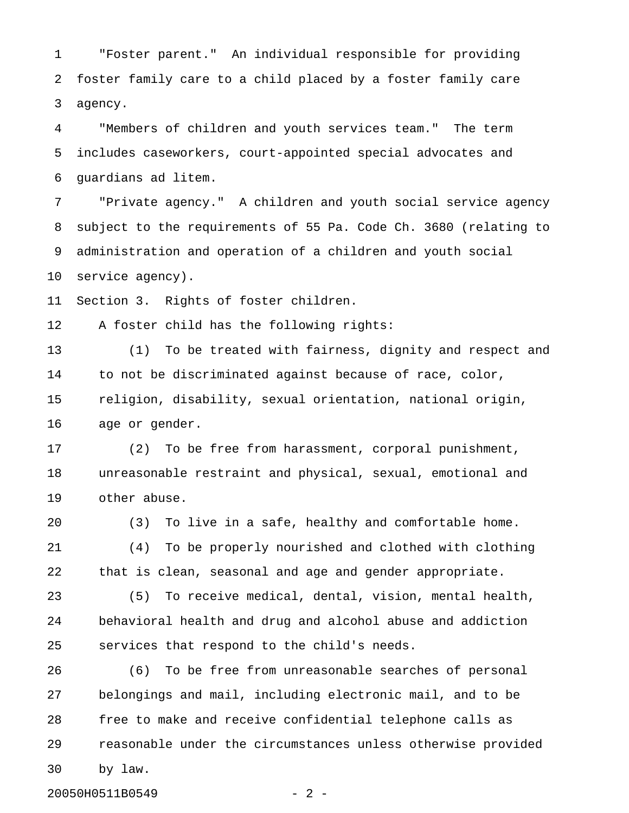1 "Foster parent." An individual responsible for providing 2 foster family care to a child placed by a foster family care 3 agency.

4 "Members of children and youth services team." The term 5 includes caseworkers, court-appointed special advocates and 6 guardians ad litem.

7 "Private agency." A children and youth social service agency 8 subject to the requirements of 55 Pa. Code Ch. 3680 (relating to 9 administration and operation of a children and youth social 10 service agency).

11 Section 3. Rights of foster children.

12 A foster child has the following rights:

13 (1) To be treated with fairness, dignity and respect and 14 to not be discriminated against because of race, color, 15 religion, disability, sexual orientation, national origin, 16 age or gender.

17 (2) To be free from harassment, corporal punishment, 18 unreasonable restraint and physical, sexual, emotional and 19 other abuse.

20 (3) To live in a safe, healthy and comfortable home.

21 (4) To be properly nourished and clothed with clothing 22 that is clean, seasonal and age and gender appropriate.

23 (5) To receive medical, dental, vision, mental health, 24 behavioral health and drug and alcohol abuse and addiction 25 services that respond to the child's needs.

26 (6) To be free from unreasonable searches of personal 27 belongings and mail, including electronic mail, and to be 28 free to make and receive confidential telephone calls as 29 reasonable under the circumstances unless otherwise provided 30 by law.

20050H0511B0549 - 2 -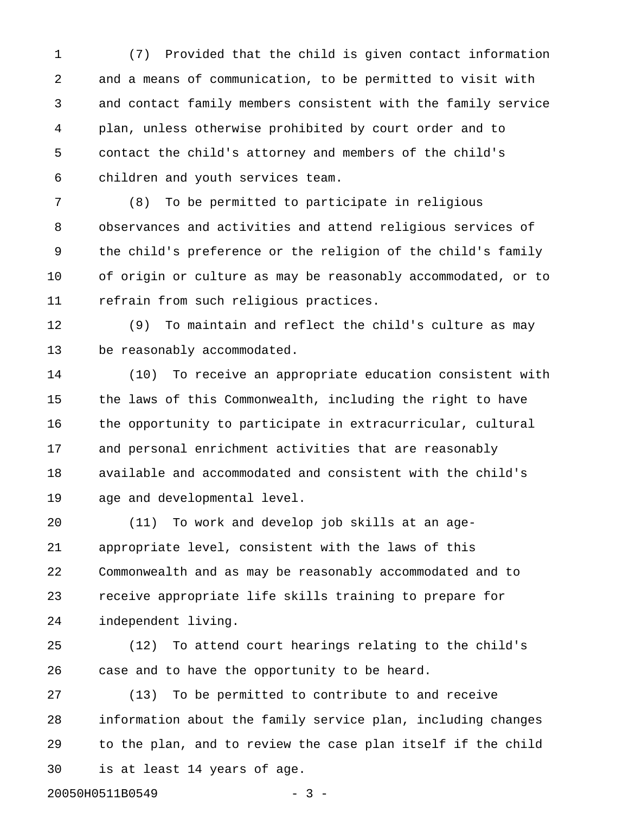1 (7) Provided that the child is given contact information 2 and a means of communication, to be permitted to visit with 3 and contact family members consistent with the family service 4 plan, unless otherwise prohibited by court order and to 5 contact the child's attorney and members of the child's 6 children and youth services team.

7 (8) To be permitted to participate in religious 8 observances and activities and attend religious services of 9 the child's preference or the religion of the child's family 10 of origin or culture as may be reasonably accommodated, or to 11 refrain from such religious practices.

12 (9) To maintain and reflect the child's culture as may 13 be reasonably accommodated.

14 (10) To receive an appropriate education consistent with 15 the laws of this Commonwealth, including the right to have 16 the opportunity to participate in extracurricular, cultural 17 and personal enrichment activities that are reasonably 18 available and accommodated and consistent with the child's 19 age and developmental level.

20 (11) To work and develop job skills at an age-21 appropriate level, consistent with the laws of this 22 Commonwealth and as may be reasonably accommodated and to 23 receive appropriate life skills training to prepare for 24 independent living.

25 (12) To attend court hearings relating to the child's 26 case and to have the opportunity to be heard.

27 (13) To be permitted to contribute to and receive 28 information about the family service plan, including changes 29 to the plan, and to review the case plan itself if the child 30 is at least 14 years of age.

20050H0511B0549 - 3 -